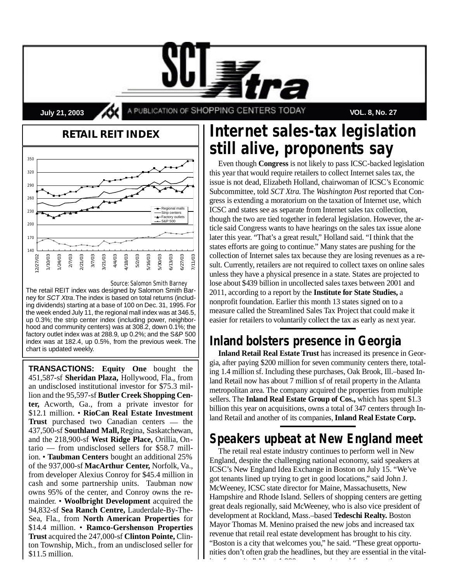**July 21, 2003 APUBLICATION OF SHOPPING CENTERS TODAY VOL. 8, No. 27** 



*Source: Salomon Smith Barney*

The retail REIT index was designed by Salomon Smith Barney for SCT Xtra. The index is based on total returns (including dividends) starting at a base of 100 on Dec. 31, 1995. For the week ended July 11, the regional mall index was at 346.5, up 0.3%; the strip center index (including power, neighborhood and community centers) was at 308.2, down 0.1%; the factory outlet index was at 288.9, up 0.2%; and the S&P 500 index was at 182.4, up 0.5%, from the previous week. The chart is updated weekly.

**TRANSACTIONS:** Equity One bought the 451,587-sf **Sheridan Plaza,** Hollywood, Fla., from an undisclosed institutional investor for \$75.3 million and the 95,597-sf **Butler Creek Shopping Cen**ter, Acworth, Ga., from a private investor for \$12.1 million. • **RioCan Real Estate Investment Trust** purchased two Canadian centers — the 437,500-sf **Southland Mall,**Regina, Saskatchewan, and the 218,900-sf **West Ridge Place,** Orillia, Ontario — from undisclosed sellers for \$58.7 million. • **Taubman Centers** bought an additional 25% of the 937,000-sf **MacArthur Center,** Norfolk, Va., from developer Alexius Conroy for \$45.4 million in cash and some partnership units. Taubman now owns 95% of the center, and Conroy owns the remainder. • Woolbright Development acquired the 94,832-sf **Sea Ranch Centre,** Lauderdale-By-The-Sea, Fla., from **North American Properties** for \$14.4 million. • **Ramco-Gershenson Properties Trust** acquired the 247,000-sf **Clinton Pointe,** Clinton Township, Mich., from an undisclosed seller for \$11.5 million.

# **Internet sales-tax legislation still alive, proponents say**

Even though **Congress** is not likely to pass ICSC-backed legislation this year that would require retailers to collect Internet sales tax, the issue is not dead, Elizabeth Holland, chairwoman of ICSC's Economic Subcommittee, told *SCT Xtra*. The *Washington Post* reported that Congress is extending a moratorium on the taxation of Internet use, which ICSC and states see as separate from Internet sales tax collection, though the two are tied together in federal legislation. However, the article said Congress wants to have hearings on the sales tax issue alone later this year. "That's a great result," Holland said. "I think that the states efforts are going to continue." Many states are pushing for the collection of Internet sales tax because they are losing revenues as a result. Currently, retailers are not required to collect taxes on online sales unless they have a physical presence in a state. States are projected to lose about \$439 billion in uncollected sales taxes between 2001 and 2011, according to a report by the **Institute for State Studies,** a nonprofit foundation. Earlier this month 13 states signed on to a measure called the Streamlined Sales Tax Project that could make it easier for retailers to voluntarily collect the tax as early as next year.

## **Inland bolsters presence in Georgia**

**Inland Retail Real Estate Trust** has increased its presence in Georgia, after paying \$200 million for seven community centers there, totaling 1.4 million sf. Including these purchases, Oak Brook, Ill.–based Inland Retail now has about 7 million sf of retail property in the Atlanta metropolitan area. The company acquired the properties from multiple sellers. The **Inland Real Estate Group of Cos.**, which has spent \$1.3 billion this year on acquisitions, owns a total of 347 centers through Inland Retail and another of its companies, **Inland Real Estate Corp.** 

## **Speakers upbeat at New England meet**

The retail real estate industry continues to perform well in New England, despite the challenging national economy, said speakers at ICSC's New England Idea Exchange in Boston on July 15. "We've got tenants lined up trying to get in good locations," said John J. McWeeney, ICSC state director for Maine, Massachusetts, New Hampshire and Rhode Island. Sellers of shopping centers are getting great deals regionally, said McWeeney, who is also vice president of development at Rockland, Mass.–based **Tedeschi Realty.** Boston Mayor Thomas M. Menino praised the new jobs and increased tax revenue that retail real estate development has brought to his city. "Boston is a city that welcomes you," he said. "These great opportunities don't often grab the headlines, but they are essential in the vitality of our city." About 1,000 people registered for the meeting.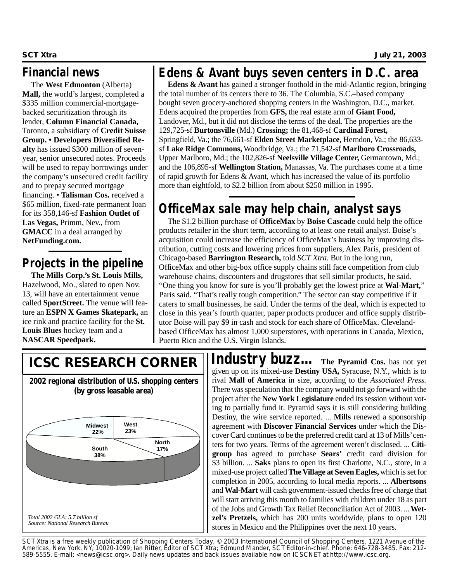### **Financial news**

The **West Edmonton** (Alberta) **Mall,** the world's largest, completed a \$335 million commercial-mortgagebacked securitization through its lender, Column Financial Canada, Toronto, a subsidiary of **Credit Suisse** Group. • Developers Diversified Realty has issued \$300 million of sevenyear, senior unsecured notes. Proceeds will be used to repay borrowings under the company's unsecured credit facility and to prepay secured mortgage financing. • Talisman Cos. received a \$65 million, fixed-rate permanent loan for its 358,146-sf **Fashion Outlet of** Las Vegas, Primm, Nev., from **GMACC** in a deal arranged by **NetFunding.com.** 

## **Projects in the pipeline**

**The Mills Corp.'s St. Louis Mills,** Hazelwood, Mo., slated to open Nov. 13, will have an entertainment venue called **SportStreet.** The venue will feature an **ESPN X Games Skatepark,** an ice rink and practice facility for the **St. Louis Blues** hockey team and a **NASCAR Speedpark.** 

### **Edens & Avant buys seven centers in D.C. area**

**Edens & Avant** has gained a stronger foothold in the mid-Atlantic region, bringing the total number of its centers there to 36. The Columbia, S.C.–based company bought seven grocery-anchored shopping centers in the Washington, D.C., market. Edens acquired the properties from **GFS,** the real estate arm of **Giant Food,** Landover, Md., but it did not disclose the terms of the deal. The properties are the 129,725-sf **Burtonsville** (Md.) **Crossing;** the 81,468-sf **Cardinal Forest,** Springfield, Va.; the 76,661-sf **Elden Street Marketplace,** Herndon, Va.; the 86,633 sf **Lake Ridge Commons,** Woodbridge, Va.; the 71,542-sf **Marlboro Crossroads,** Upper Marlboro, Md.; the 102,826-sf **Neelsville Village Center,** Germantown, Md.; and the 106,895-sf **Wellington Station,** Manassas, Va. The purchases come at a time of rapid growth for Edens & Avant, which has increased the value of its portfolio more than eightfold, to \$2.2 billion from about \$250 million in 1995.

## **OfficeMax sale may help chain, analyst says**

The \$1.2 billion purchase of **OfficeMax** by **Boise Cascade** could help the office products retailer in the short term, according to at least one retail analyst. Boise's acquisition could increase the efficiency of OfficeMax's business by improving distribution, cutting costs and lowering prices from suppliers, Alex Paris, president of Chicago-based **Barrington Research,** told *SCT Xtra.* But in the long run, OfficeMax and other big-box office supply chains still face competition from club warehouse chains, discounters and drugstores that sell similar products, he said. "One thing you know for sure is you'll probably get the lowest price at **Wal-Mart,**" Paris said. "That's really tough competition." The sector can stay competitive if it caters to small businesses, he said. Under the terms of the deal, which is expected to close in this year's fourth quarter, paper products producer and office supply distributor Boise will pay \$9 in cash and stock for each share of OfficeMax. Clevelandbased OfficeMax has almost 1,000 superstores, with operations in Canada, Mexico, Puerto Rico and the U.S. Virgin Islands.

**West 23% North South 17% 38% Midwest 22% 2002 regional distribution of U.S. shopping centers (by gross leasable area)** *Source: National Research Bureau Total 2002 GLA: 5.7 billion sf*

**ICSC RESEARCH CORNER The algorithment Cos.** has not yet given up on its mixed-use **Destiny USA**, Syracuse, N.Y., which is to rival **Mall of America** in size, according to the *Associated Press.* There was speculation that the company would not go forward with the project after the **New York Legislature** ended its session without voting to partially fund it. Pyramid says it is still considering building Destiny, the wire service reported. ... **Mills** renewed a sponsorship agreement with **Discover Financial Services** under which the Discover Card continues to be the preferred credit card at 13 of Mills' centers for two years. Terms of the agreement weren't disclosed. ... **Citi**group has agreed to purchase Sears' credit card division for \$3 billion. ... **Saks** plans to open its first Charlotte, N.C., store, in a mixed-use project called **The Village at Seven Eagles**, which is set for completion in 2005, according to local media reports. ... **Albertsons** and **Wal-Mart** will cash government-issued checks free of charge that will start arriving this month to families with children under 18 as part of the Jobs and Growth Tax Relief Reconciliation Act of 2003. ... **We tzel's Pretzels,** which has 200 units worldwide, plans to open 120 stores in Mexico and the Philippines over the next 10 years.

*SCT Xtra is a free weekly publication of Shopping Centers Today, © 2003 International Council of Shopping Centers, 1221 Avenue of the Americas, New York, NY, 10020-1099; Ian Ritter, Editor of SCT Xtra; Edmund Mander, S C T E d i t o r-in-chief. Phone: 646-728-3485. Fax: 212-* 589-5555. E-mail: <news@icsc.org>. Daily news updates and back issues available now on ICSCNET at http://www.icsc.org.